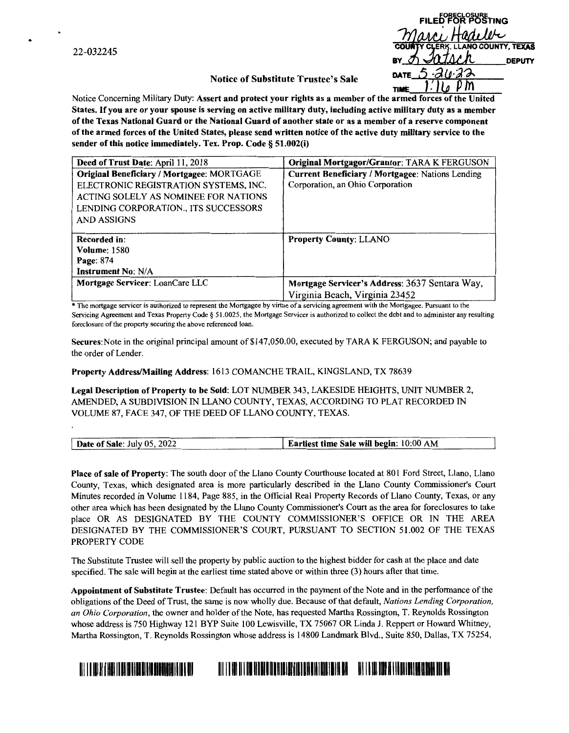22-032245

| <b>FILED FOR POSTING</b>                 |  |
|------------------------------------------|--|
| Marci Hadeler                            |  |
| <b>COUNTY CLERK, LLANO COUNTY, TEXAS</b> |  |
| Intar<br>BY $\sigma$<br><b>DEPUTY</b>    |  |
| $-20.22$<br>DATE $\sqrt{2}$              |  |
|                                          |  |

## **Notice of Substitute Trustee's Sale**

Notice Concerning Military Duty: **Assert and protect your rights as a member of the armed forces of the United States.** If **you are or your spouse is serving on active military duty, including active military duty as a member of the Texas National Guard or the National Guard of another state or as a member of a reserve component of the armed forces of the United States, please send written notice of the active duty military service to the sender of this notice immediately. Tex. Prop. Code§ 51.002(i)** 

| Deed of Trust Date: April 11, 2018         | Original Mortgagor/Grantor: TARA K FERGUSON      |
|--------------------------------------------|--------------------------------------------------|
| Original Beneficiary / Mortgagee: MORTGAGE | Current Beneficiary / Mortgagee: Nations Lending |
| ELECTRONIC REGISTRATION SYSTEMS, INC.      | Corporation, an Ohio Corporation                 |
| ACTING SOLELY AS NOMINEE FOR NATIONS       |                                                  |
| LENDING CORPORATION., ITS SUCCESSORS       |                                                  |
| AND ASSIGNS                                |                                                  |
|                                            |                                                  |
| Recorded in:                               | <b>Property County: LLANO</b>                    |
| <b>Volume: 1580</b>                        |                                                  |
| Page: 874                                  |                                                  |
| <b>Instrument No: N/A</b>                  |                                                  |
| Mortgage Servicer: LoanCare LLC            | Mortgage Servicer's Address: 3637 Sentara Way,   |
|                                            | Virginia Beach, Virginia 23452                   |

\* The mortgage servicer is authorized to represent the Mortgagee by virtue of a servicing agreement with the Mortgagee. Pursuant to the Servicing Agreement and Texas Property Code § 51.0025, the Mortgage Servicer is authorized to collect the debt and to administer any resulting foreclosure of the property securing the above referenced loan.

**Secures:** Note in the original principal amount of \$147,050.00, executed by TARA K FERGUSON; and payable to the order of Lender.

**Property Address/Mailing Address:** 1613 COMANCHE TRAIL, KINGSLAND, TX 78639

**Legal Description of Property to be Sold:** LOT NUMBER 343, LAKESIDE HEIGHTS, UNIT NUMBER 2, AMENDED, A SUBDIVISION IN LLANO COUNTY, TEXAS, ACCORDING TO PLAT RECORDED IN VOLUME 87, FACE 347, OF THE DEED OF LLANO COUNTY, TEXAS.

| <b>Date of Sale: July 05, 2022</b> | Earliest time Sale will begin: 10:00 AM |
|------------------------------------|-----------------------------------------|
|------------------------------------|-----------------------------------------|

**Place of sale of Property:** The south door of the Llano County Courthouse located at 801 Ford Street, Llano, Llano County, Texas, which designated area is more particularly described in the Llano County Commissioner's Court Minutes recorded in Volume 1184, Page 885, in the Official Real Property Records of Llano County, Texas, or any other area which has been designated by the Llano County Commissioner's Court as the area for foreclosures to take place OR AS DESIGNATED BY THE COUNTY COMMISSIONER'S OFFICE OR IN THE AREA DESIGNATED BY THE COMMISSIONER'S COURT, PURSUANT TO SECTION 51.002 OF THE TEXAS PROPERTY CODE

The Substitute Trustee will sell the property by public auction to the highest bidder for cash at the place and date specified. The sale will begin at the earliest time stated above or within three (3) hours after that time.

**Appointment of Substitute Trustee:** Default has occurred in the payment of the Note and in the performance of the obligations of the Deed of Trust, the same is now wholly due. Because of that default, *Nations Lending Corporation, an Ohio Corporation,* the owner and holder of the Note, has requested Martha Rossington, T. Reynolds Rossington whose address is 750 Highway 121 BYP Suite 100 Lewisville, TX 75067 OR Linda J. Reppert or Howard Whitney, Martha Rossington, T. Reynolds Rossington whose address is 14800 Landmark Blvd., Suite 850, Dallas, TX 75254,